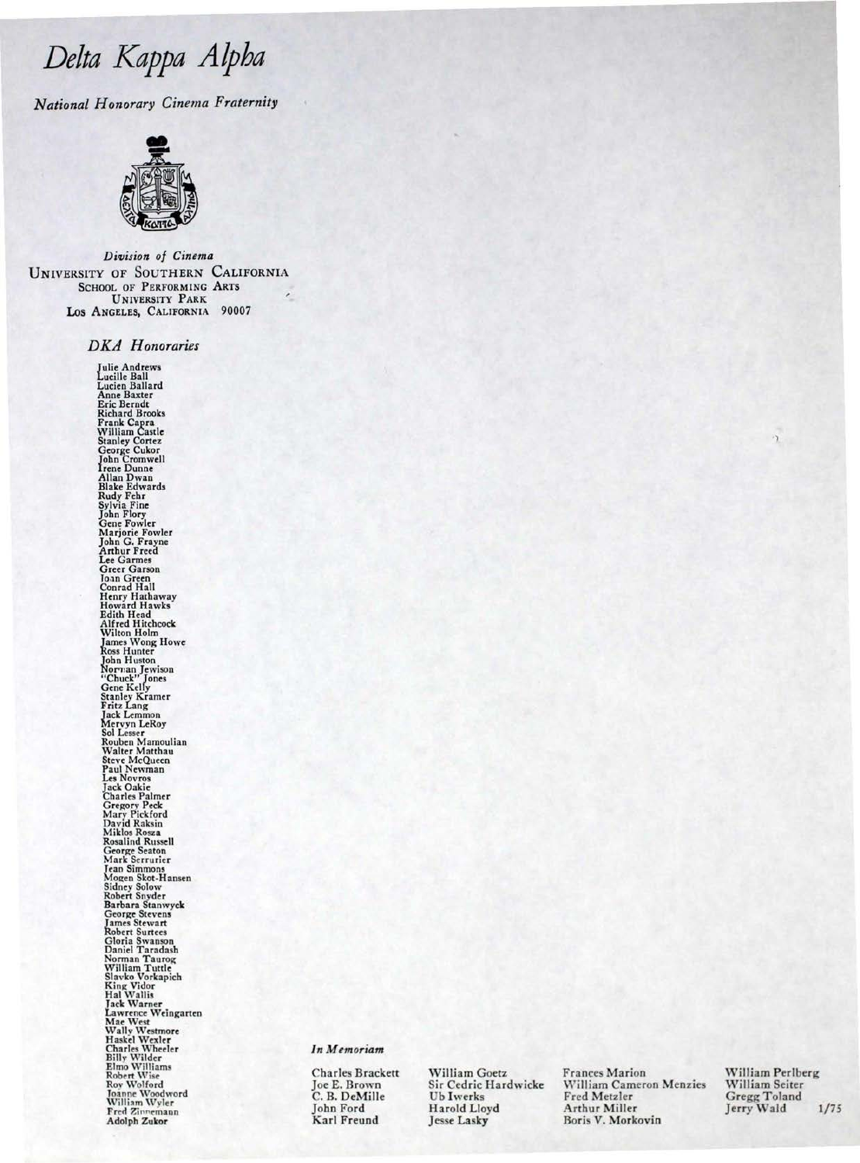### Delta Kappa Alpha

National Honorary Cinema Fraternity



Division of Cinema UNIVERSITY OF SOUTHERN CALIFORNIA **SCHOOL OF PERFORMING ARTS UNIVERSITY PARK** LOS ANGELES, CALIFORNIA 90007

**DKA** Honoraries

The Andrews<br>
Julie Andrews<br>
Lucien Ballard<br>
Lucien Ballard<br>
Anne Baxter<br>
Eric Bennat<br>
Richard Brooks<br>
Frank Capra<br>
Richard<br>
Stanley Cortez<br>
George Cukor<br>
Allan Dwan<br>
Allake Edwards<br>
Rudy Fehr<br>
Sphin Flory<br>
Cene Fowler<br>
Mar Lee varmen<br>Creer Garson<br>Joan Green<br>Corner Garson<br>Joan Green<br>Henry Hathaway<br>Holfen Hawks<br>High Head<br>Alfred Hitchcock<br>James Wong Howe<br>Nicolas Hunter<br>Non-Range Howse<br>Change Rivis Cenne Kelly<br>Scanner Rivis Cenne<br>Kindy Scanner<br>S

#### In Memoriam

**Charles Brackett** Joe E. Brown C. B. DeMille John Ford Karl Freund

William Goetz Sir Cedric Hardwicke **Ub Iwerks** Harold Lloyd **Jesse Lasky** 

Frances Marion William Cameron Menzies Fred Metzler Arthur Miller Boris V. Morkovin

William Perlberg William Seiter Gregg Toland<br>Jerry Wald  $1/75$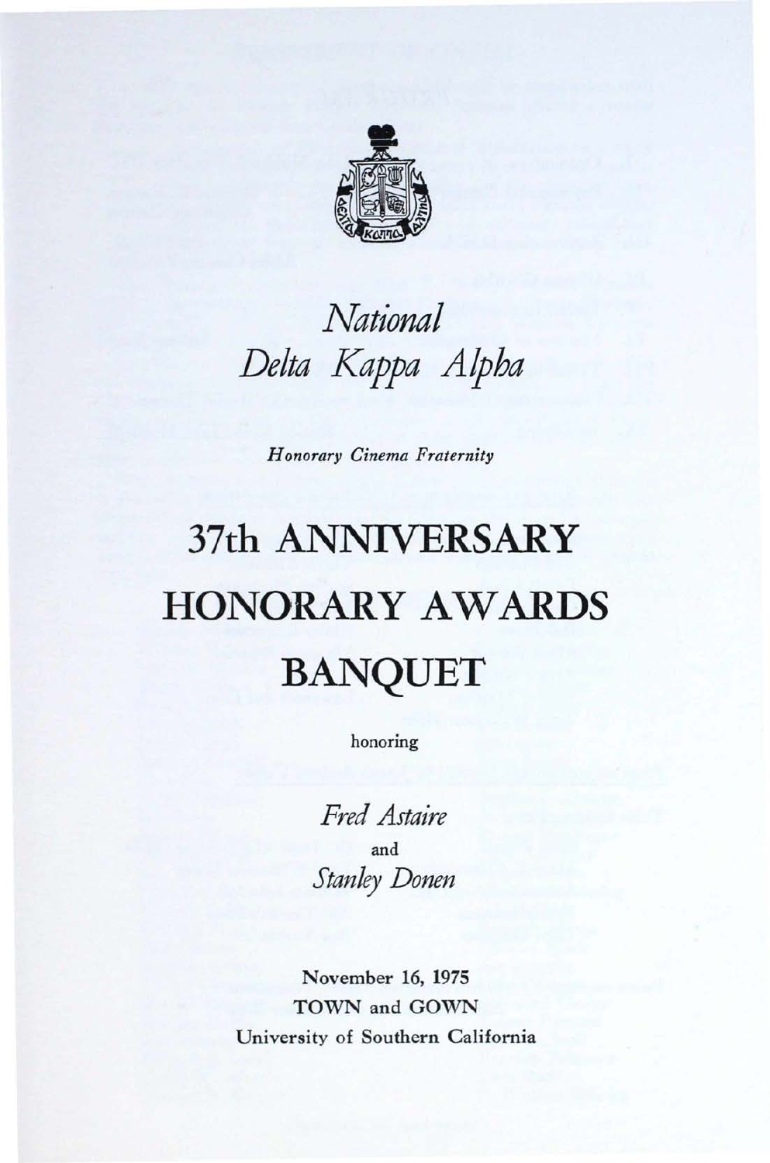

## *National Delta Kappa Alpha*

*Honorary Cinema Fraternity* 

# **37th** ANNIVERSARY HONORARY AWARDS BANQUET

honoring

*Fred Astaire*  and *Stanley Donen* 

November 16, 1975 TOWN and GOWN University of Southern California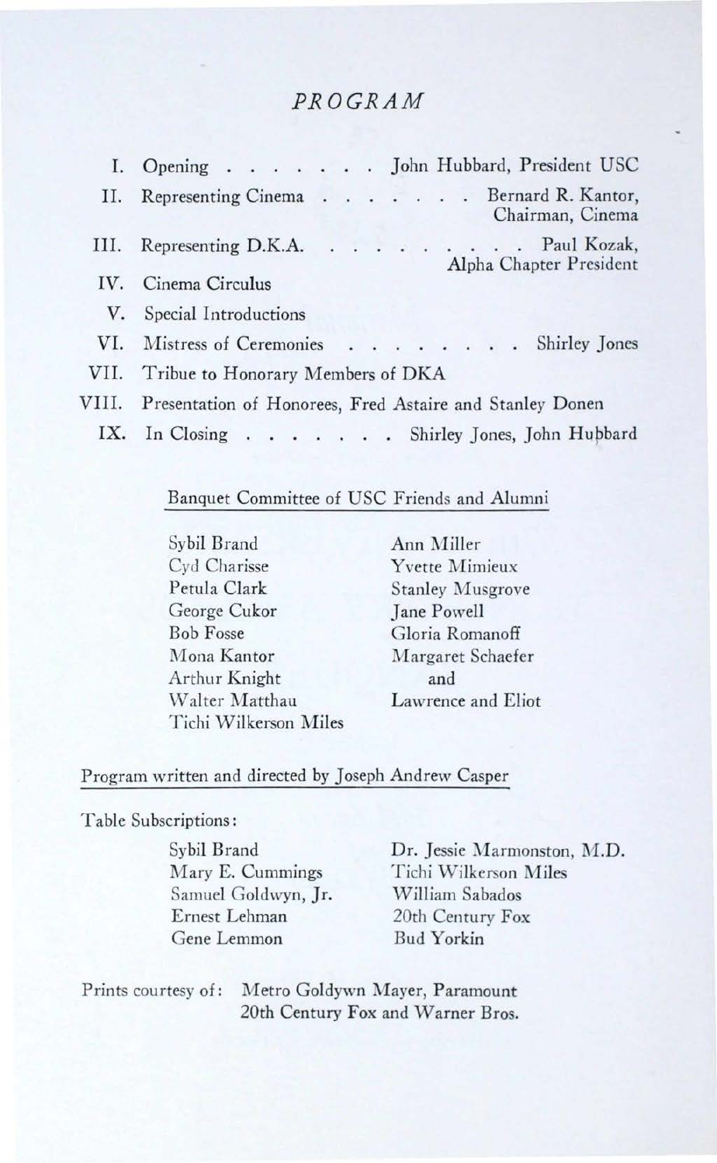#### PROGRAM

|    | I. Opening John Hubbard, President USC                          |  |  |  |  |  |  |  |
|----|-----------------------------------------------------------------|--|--|--|--|--|--|--|
|    | II. Representing Cinema Bernard R. Kantor,<br>Chairman, Cinema  |  |  |  |  |  |  |  |
|    | III. Representing D.K.A. Paul Kozak,<br>Alpha Chapter President |  |  |  |  |  |  |  |
|    | IV. Cinema Circulus                                             |  |  |  |  |  |  |  |
| V. | Special Introductions                                           |  |  |  |  |  |  |  |
|    | VI. Mistress of Ceremonies Shirley Jones                        |  |  |  |  |  |  |  |
|    | VII. Tribue to Honorary Members of DKA                          |  |  |  |  |  |  |  |
|    | 7III. Presentation of Honorees, Fred Astaire and Stanley Donen  |  |  |  |  |  |  |  |
|    | IX. In Closing Shirley Jones, John Hubbard                      |  |  |  |  |  |  |  |

#### Banquet Committee of USC Friends and Alumni

Sybil Brand Cyd Charisse Petula Clark George Cukor **Bob Fosse** Mona Kantor Arthur Knight Walter Matthau Tichi Wilkerson Miles

Ann Miller Yvette Mimieux **Stanley Musgrove Jane Powell** Gloria Romanoff Margaret Schaefer and Lawrence and Eliot

#### Program written and directed by Joseph Andrew Casper

#### Table Subscriptions:

J

Sybil Brand Mary E. Cummings Samuel Goldwyn, Jr. Ernest Lehman Gene Lemmon

Dr. Jessie Marmonston, M.D. Tichi Wilkerson Miles William Sabados 20th Century Fox **Bud Yorkin** 

Prints courtesy of: Metro Goldywn Mayer, Paramount 20th Century Fox and Warner Bros.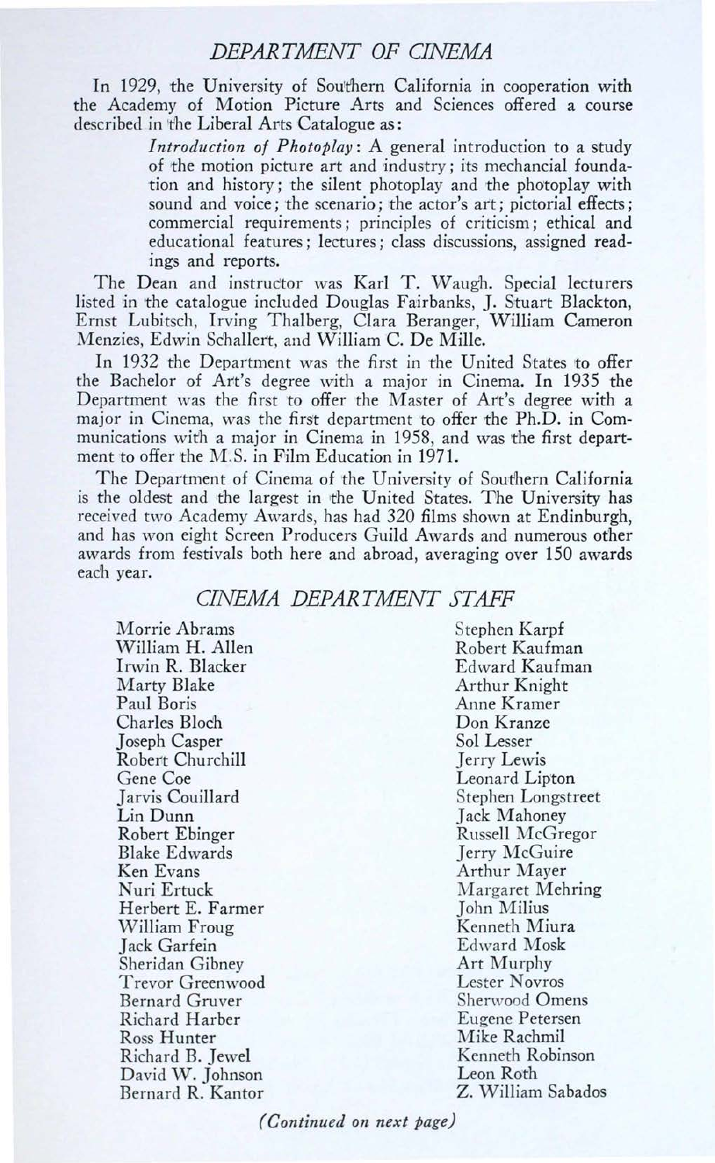#### *DEPARTMENT OF CINEMA*

In 1929, the University of Southern California in cooperation with the Academy of Motion Picture Arts and Sciences offered a course described in the Liberal Arts Catalogue as:

> *Introduction of Photoplay:* A general introduction to a study of the motion picture art and industry; its mechancial foundation and history; the silent photoplay and the photoplay with sound and voice; the scenario; the actor's art; pictorial effects; commercial requirements; principles of criticism; ethical and educational features; lectures; class discussions, assigned readings and reports.

The Dean and instructor was Karl T. Waugh. Special lecturers listed in the catalogue included Douglas Fairbanks, J. Stuart Blackton, Ernst Lubitsch, Irving Thalberg, Clara Beranger, William Cameron Menzies, Edwin Schallert, and William C. De Mille.

In 1932 the Department was the first in the United States to offer the Bachelor of Art's degree with a major in Cinema. In 1935 the Department was the first to offer the Master of Art's degree with a major in Cinema, was the first department to offer the Ph.D. in Communications with a major in Cinema in 1958, and was the first department to offer the M.S. in Film Education in 1971.

The Department of Cinema of the University of Southern California is the oldest and the largest in the United States. The University has received two Academy Awards, has had 320 films shown at Endinburgh, and has won eight Screen Producers Guild Awards and numerous other awards from festivals both here and abroad, averaging over 150 awards eaCh year.

#### *CINEMA DEPARTMENT STAFF*

Morrie Abrams William H. Allen Irwin R. Blacker Marty Blake Paul Boris Charles Bloch Joseph Casper Robert Churchill Gene Coe Jarvis Couillard Lin Dunn Robert Ebinger Blake Edwards Ken Evans Nuri Ertuck Herbert E. Farmer William Froug Jack Garfein Sheridan Gibney Trevor Greenwood Bernard Gruver Richard Harber Ross Hunter Richard B. Jewel David W. Johnson Bernard R. Kantor

Stephen Karpf Robert Kaufman Ed ward Kaufman Arthur Knight Anne Kramer Don Kranze Sol Lesser Jerry Lewis Leonard Lipton Stephen Longstreet Jack Mahoney Russell McGregor Jerry McGuire Arthur Mayer Margaret Mehring John Milius Kenneth Miura Edward Mask Art Murphy Lester Novros Sherwood Omens Eugene Petersen Mike Rachmil Kenneth Robinson Leon Roth Z. William Sabados

*(Continued on next page)*